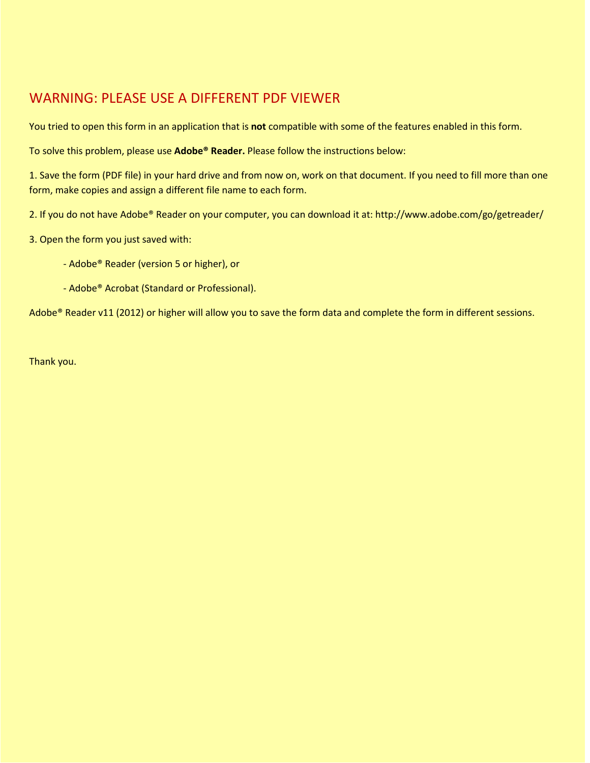## WARNING: PLEASE USE A DIFFERENT PDF VIEWER and Annual Report

You tried to open this form in an application that is **not** compatible with some of the features enabled in this form.

1<br>1<sup>8</sup> Februar<sup> –</sup> 6 Calendar Johnson (Taxable Year 2022 – determination period beginning and ending 12/31/2021)<br>12/31/2021 – 12/31/2022 – 12/31/2021 – 12/31/2021 – 12/31/2021 – 12/31/2021 – 12/31/2021 – 12/31/2021 – 12/31 To solve this problem, please use **Adobe® Reader.** Please follow the instructions below:

**1c** • 6 Amended Return (Attach Supporting Documentation) • 6 52/53 Week Filer 1. Save the form (PDF file) in your hard drive and from now on, work on that document. If you need to fill more than one *2* Form, make copies and assign a different file name to each form.

2. If you do not have Adobe® Reader on your computer, you can download it at: http://www.adobe.com/go/getreader/ **3a** LEGAL NAME OF FEIN NOT REQUIRED BUSINESS ENTITY • **3b** FEIN • • 6 *(SEE INSTRUCTIONS)*

- **3c** MAILING **3d** BPT ACCOUNT NO. ADDRESS *(SEE INSTRUCTIONS)* **3h** FEDERAL BUSINESS CODE NO. 3. Open the form you just saved with:
	- CONCERNING THIS FORM PHONE NO. **3k** TAXPAYER'S Adobe® Reader (version 5 or higher), or
	- **4** Adobe® Acrobat (Standard or Professional).

**5a** Date of Incorporation or Organization **5b** State of Incorporation or Organization **5c** County of Incorporation or Organization Adobe® Reader v11 (2012) or higher will allow you to save the form data and complete the form in different sessions.

**6** Secretary of State corporate annual report fee \$10 . . . . . . . . . . . . . . . . . . . . . . . . . . . . . . . Thank you.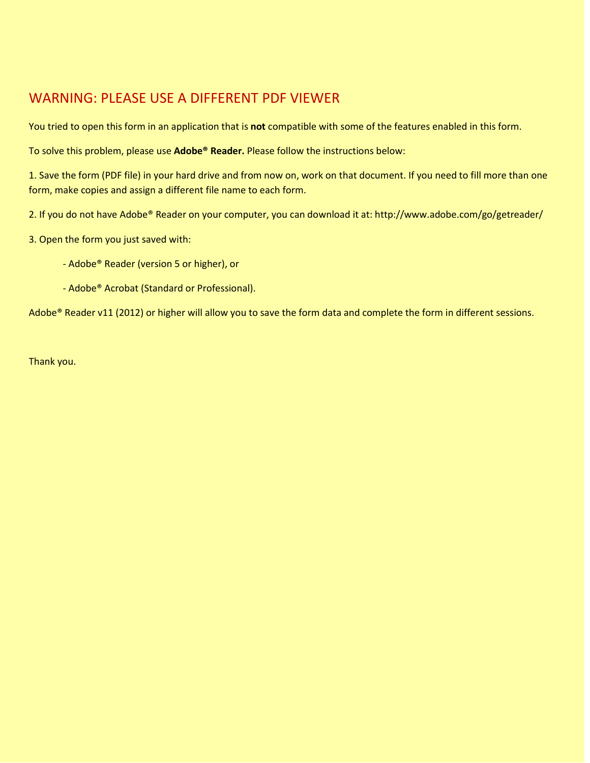## **PART A – NET WORTH COMPUTATION** WARNING: PLEASE USE A DIFFERENT PDF VIEWER

**1** Issued capital stock and additional paid in capital (without reduction for treasury stock) You tried to open this form in an application that is **not** compatible with some of the features enabled in this form.<br>'

**2** Retained earnings, but not less than zero, including dividends payable. For LLC's taxed To solve this problem, please use **Adobe® Reader.** Please follow the instructions below:

minus liabilities . . . . . . . . . . . . . . . . . . . . . . . . . . . . . . . . . . . . . . . . . . . . . . . . . . . . . . . . . **3 ave the form (PDF file) in your hard unve and from now on,** form, make copies and assign a different file name to each form. • **3** 1. Save the form (PDF file) in your hard drive and from now on, work on that document. If you need to fill more than one

2. If you do not have Adobe® Reader on your computer, you can download it at: http://www.adobe.com/go/getreader/

- **3. Open the form you just saved with: Contract the contract of the contract of the contract of the contract of** 
	- **2** Book value of the investments by the taxpayer in the equity of other taxpayers . . . . . . . . . Adobe® Reader (version 5 or higher), or **3** Financial institutions, only – Book value of the investments in other corporations or LLE's
	- if the taxpayer of the taxpayer of the corporation of the corporation of the corporation of the corporation of <br>Additional corporation of the corporation of the corporation of the corporation of the corporation of the corp - Adobe<sup>®</sup> Acrobat (Standard or Professional).

purchase. . . . . . . . . . . . . . . . . . . . . . . . . . . . . . . . . . . . . . . . . . . . . . . . . . . . . . . . . . . . . . **5** Uncomortized balance of properly will dilow you to save the • • Adobe® Reader v11 (2012) or higher will allow you to save the form data and complete the form in different sessions.

**8 Net word subject to approximately subject to approximately subject to approximately subject to approximately** Thank you.